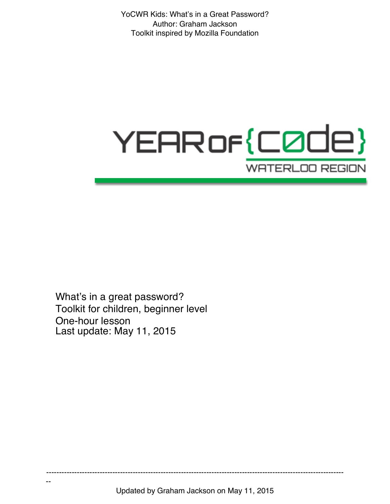# YEAR of {C0de} **WATERLOO REGION**

What's in a great password? Toolkit for children, beginner level One-hour lesson Last update: May 11, 2015

--

Updated by Graham Jackson on May 11, 2015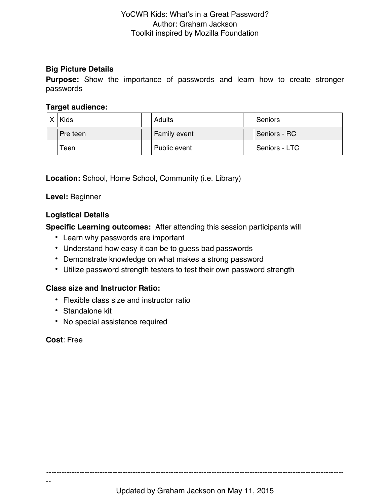#### **Big Picture Details**

**Purpose:** Show the importance of passwords and learn how to create stronger passwords

#### **Target audience:**

| X <sub>1</sub> | Kids     | Adults       | Seniors       |
|----------------|----------|--------------|---------------|
|                | Pre teen | Family event | Seniors - RC  |
|                | Teen     | Public event | Seniors - LTC |

**Location:** School, Home School, Community (i.e. Library)

**Level:** Beginner

# **Logistical Details**

**Specific Learning outcomes:** After attending this session participants will

- Learn why passwords are important
- Understand how easy it can be to guess bad passwords
- Demonstrate knowledge on what makes a strong password
- Utilize password strength testers to test their own password strength

# **Class size and Instructor Ratio:**

- Flexible class size and instructor ratio
- Standalone kit
- No special assistance required

**Cost**: Free

--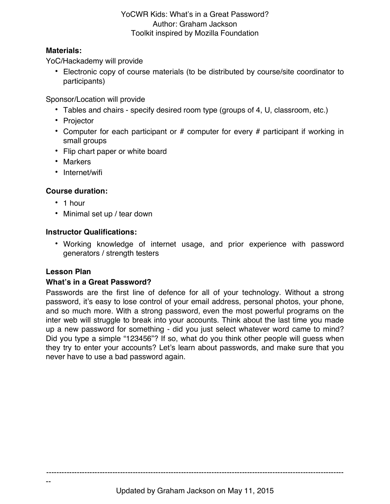### **Materials:**

YoC/Hackademy will provide

• Electronic copy of course materials (to be distributed by course/site coordinator to participants)

Sponsor/Location will provide

- Tables and chairs specify desired room type (groups of 4, U, classroom, etc.)
- Projector
- Computer for each participant or # computer for every # participant if working in small groups
- Flip chart paper or white board
- Markers
- Internet/wifi

# **Course duration:**

- 1 hour
- Minimal set up / tear down

# **Instructor Qualifications:**

• Working knowledge of internet usage, and prior experience with password generators / strength testers

# **Lesson Plan**

--

# **What's in a Great Password?**

Passwords are the first line of defence for all of your technology. Without a strong password, it's easy to lose control of your email address, personal photos, your phone, and so much more. With a strong password, even the most powerful programs on the inter web will struggle to break into your accounts. Think about the last time you made up a new password for something - did you just select whatever word came to mind? Did you type a simple "123456"? If so, what do you think other people will guess when they try to enter your accounts? Let's learn about passwords, and make sure that you never have to use a bad password again.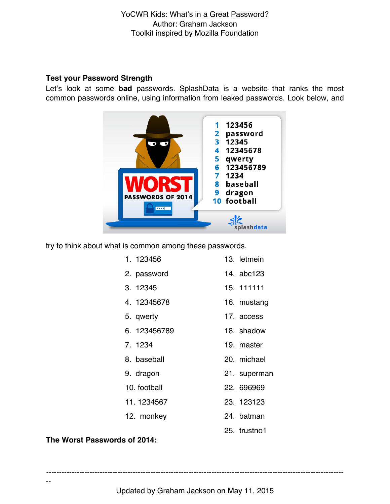#### **Test your Password Strength**

Let's look at some **bad** passwords. SplashData is a website that ranks the most common passwords online, using information from leaked passwords. Look below, and



try to think about what is common among these passwords.

| 1.123456     | 13. letmein  |
|--------------|--------------|
| 2. password  | 14. abc123   |
| 3.12345      | 15 111111    |
| 4. 12345678  | 16. mustang  |
| 5. qwerty    | 17. access   |
| 6. 123456789 | 18. shadow   |
| 7.1234       | 19. master   |
| 8. baseball  | 20. michael  |
| 9. dragon    | 21. superman |
| 10. football | 22. 696969   |
| 11.1234567   | 23. 123123   |
| 12. monkey   | 24. batman   |
|              |              |

#### **The Worst Passwords of 2014:**

--

---------------------------------------------------------------------------------------------------------------------

25. trustno1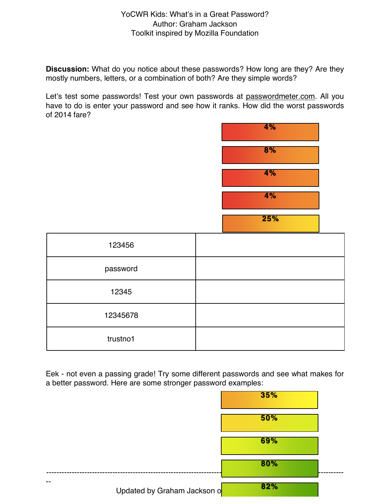**Discussion:** What do you notice about these passwords? How long are they? Are they mostly numbers, letters, or a combination of both? Are they simple words?

Let's test some passwords! Test your own passwords at passwordmeter.com. All you have to do is enter your password and see how it ranks. How did the worst passwords of 2014 fare?



Eek - not even a passing grade! Try some different passwords and see what makes for a better password. Here are some stronger password examples:

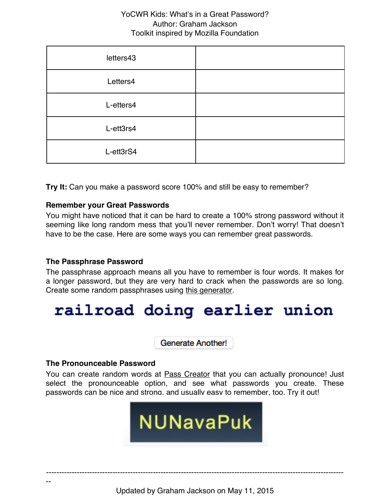| letters43 |  |
|-----------|--|
| Letters4  |  |
| L-etters4 |  |
| L-ett3rs4 |  |
| L-ett3rS4 |  |

**Try It:** Can you make a password score 100% and still be easy to remember?

#### **Remember your Great Passwords**

You might have noticed that it can be hard to create a 100% strong password without it seeming like long random mess that you'll never remember. Don't worry! That doesn't have to be the case. Here are some ways you can remember great passwords.

#### **The Passphrase Password**

The passphrase approach means all you have to remember is four words. It makes for a longer password, but they are very hard to crack when the passwords are so long. Create some random passphrases using this generator.

# railroad doing earlier union

**Generate Another!** 

#### **The Pronounceable Password**

--

You can create random words at **Pass Creator** that you can actually pronounce! Just select the pronounceable option, and see what passwords you create. These passwords can be nice and strong, and usually easy to remember, too. Try it out!

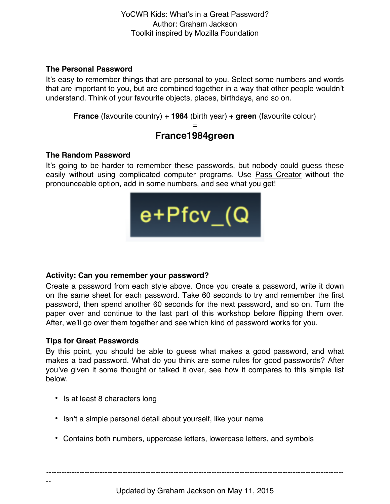#### **The Personal Password**

It's easy to remember things that are personal to you. Select some numbers and words that are important to you, but are combined together in a way that other people wouldn't understand. Think of your favourite objects, places, birthdays, and so on.

**France** (favourite country) + **1984** (birth year) + **green** (favourite colour)

# = **France1984green**

#### **The Random Password**

It's going to be harder to remember these passwords, but nobody could guess these easily without using complicated computer programs. Use **Pass Creator** without the pronounceable option, add in some numbers, and see what you get!



# **Activity: Can you remember your password?**

Create a password from each style above. Once you create a password, write it down on the same sheet for each password. Take 60 seconds to try and remember the first password, then spend another 60 seconds for the next password, and so on. Turn the paper over and continue to the last part of this workshop before flipping them over. After, we'll go over them together and see which kind of password works for you.

# **Tips for Great Passwords**

--

By this point, you should be able to guess what makes a good password, and what makes a bad password. What do you think are some rules for good passwords? After you've given it some thought or talked it over, see how it compares to this simple list below.

- Is at least 8 characters long
- Isn't a simple personal detail about yourself, like your name
- Contains both numbers, uppercase letters, lowercase letters, and symbols